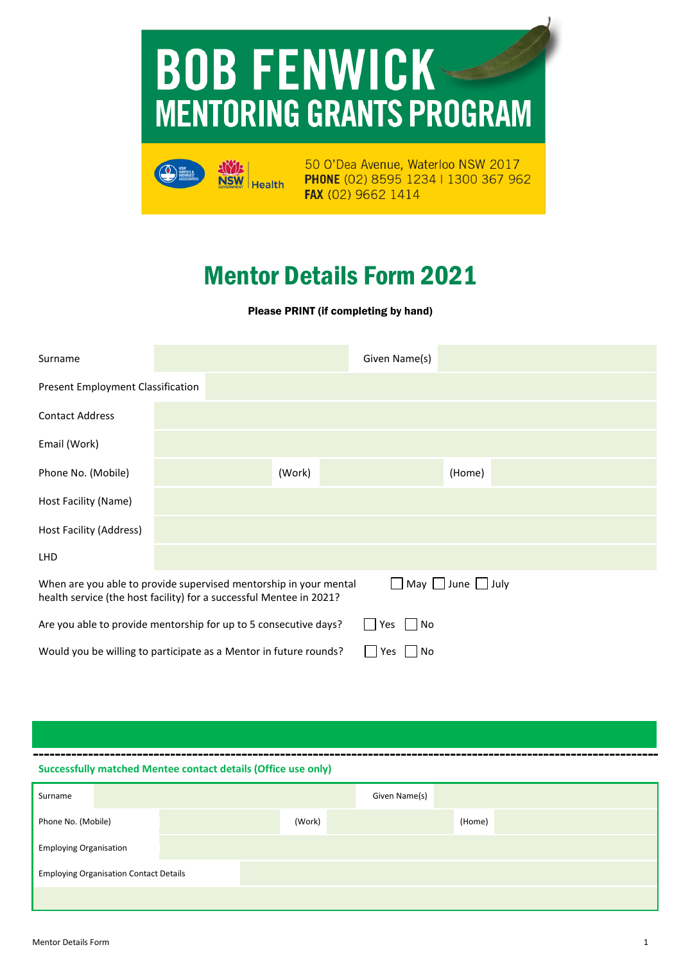# **BOB FENWICK-MENTORING GRANTS PROGRAM**



50 O'Dea Avenue, Waterloo NSW 2017 PHONE (02) 8595 1234 | 1300 367 962 FAX (02) 9662 1414

# Mentor Details Form 2022

Please PRINT (if completing by hand)

| Surname                                                                                                                                                   |  |  |        | Given Name(s) |        |  |  |
|-----------------------------------------------------------------------------------------------------------------------------------------------------------|--|--|--------|---------------|--------|--|--|
| <b>Present Employment Classification</b>                                                                                                                  |  |  |        |               |        |  |  |
| <b>Contact Address</b>                                                                                                                                    |  |  |        |               |        |  |  |
| Email (Work)                                                                                                                                              |  |  |        |               |        |  |  |
| Phone No. (Mobile)                                                                                                                                        |  |  | (Work) |               | (Home) |  |  |
| Host Facility (Name)                                                                                                                                      |  |  |        |               |        |  |  |
| Host Facility (Address)                                                                                                                                   |  |  |        |               |        |  |  |
| <b>LHD</b>                                                                                                                                                |  |  |        |               |        |  |  |
| May June July<br>When are you able to provide supervised mentorship in your mental<br>health service (the host facility) for a successful Mentee in 2021? |  |  |        |               |        |  |  |
| Are you able to provide mentorship for up to 5 consecutive days?<br>No<br>Yes                                                                             |  |  |        |               |        |  |  |
| Would you be willing to participate as a Mentor in future rounds?<br>No<br>Yes                                                                            |  |  |        |               |        |  |  |

**Successfully matched Mentee contact details (Office use only)** 

| Surname                                       |  |  |        | Given Name(s) |        |  |  |
|-----------------------------------------------|--|--|--------|---------------|--------|--|--|
| Phone No. (Mobile)                            |  |  | (Work) |               | (Home) |  |  |
| <b>Employing Organisation</b>                 |  |  |        |               |        |  |  |
| <b>Employing Organisation Contact Details</b> |  |  |        |               |        |  |  |
|                                               |  |  |        |               |        |  |  |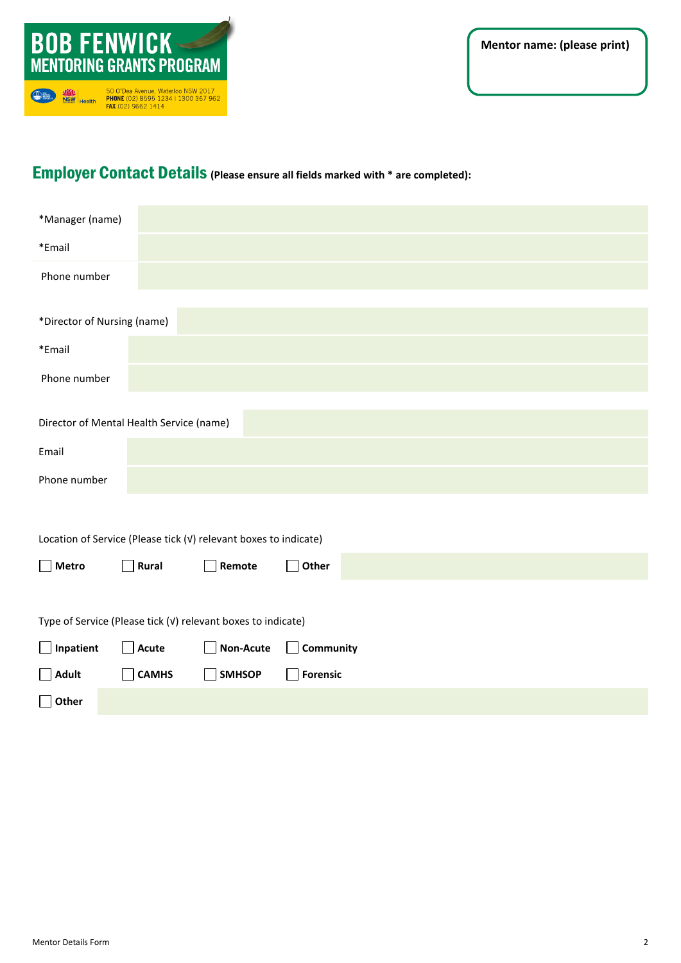

# Employer Contact Details **(Please ensure all fields marked with \* are completed):**

| *Manager (name)                                                  |              |                  |                                   |  |
|------------------------------------------------------------------|--------------|------------------|-----------------------------------|--|
| *Email                                                           |              |                  |                                   |  |
| Phone number                                                     |              |                  |                                   |  |
|                                                                  |              |                  |                                   |  |
| *Director of Nursing (name)                                      |              |                  |                                   |  |
| *Email                                                           |              |                  |                                   |  |
| Phone number                                                     |              |                  |                                   |  |
|                                                                  |              |                  |                                   |  |
| Director of Mental Health Service (name)                         |              |                  |                                   |  |
| Email                                                            |              |                  |                                   |  |
| Phone number                                                     |              |                  |                                   |  |
|                                                                  |              |                  |                                   |  |
| Location of Service (Please tick (v) relevant boxes to indicate) |              |                  |                                   |  |
| $\Box$ Metro                                                     | $\Box$ Rural | Remote           | Other<br>$\Box$                   |  |
|                                                                  |              |                  |                                   |  |
| Type of Service (Please tick (v) relevant boxes to indicate)     |              |                  |                                   |  |
| $\Box$ Inpatient                                                 | $\Box$ Acute | <b>Non-Acute</b> | Community                         |  |
| $\Box$ Adult                                                     | <b>CAMHS</b> | <b>SMHSOP</b>    | <b>Forensic</b><br>$\blacksquare$ |  |
| $\Box$ Other                                                     |              |                  |                                   |  |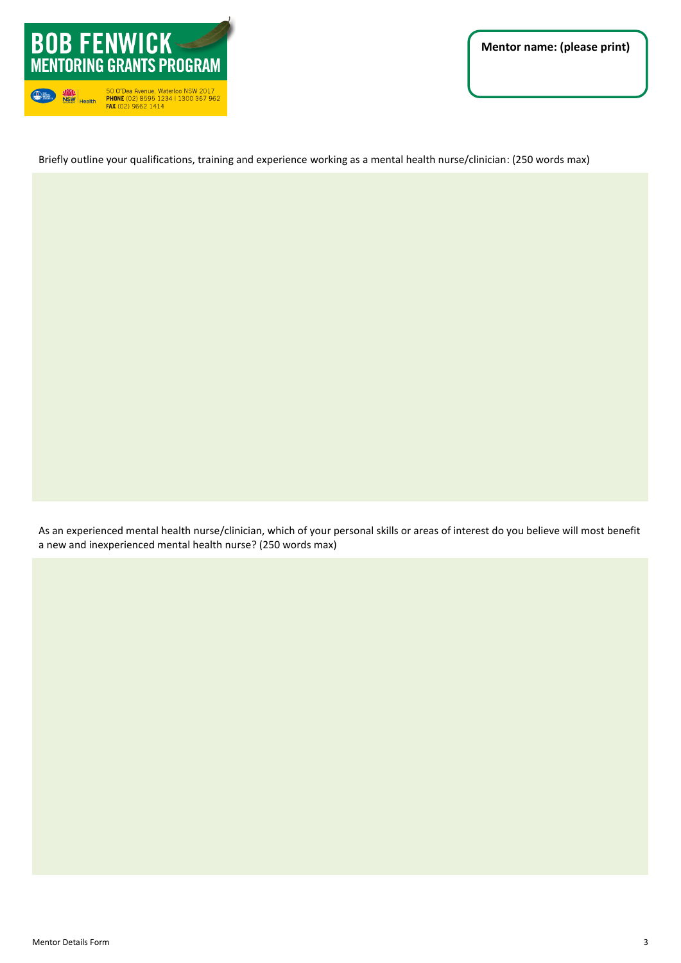

Briefly outline your qualifications, training and experience working as a mental health nurse/clinician: (250 words max)

As an experienced mental health nurse/clinician, which of your personal skills or areas of interest do you believe will most benefit a new and inexperienced mental health nurse? (250 words max)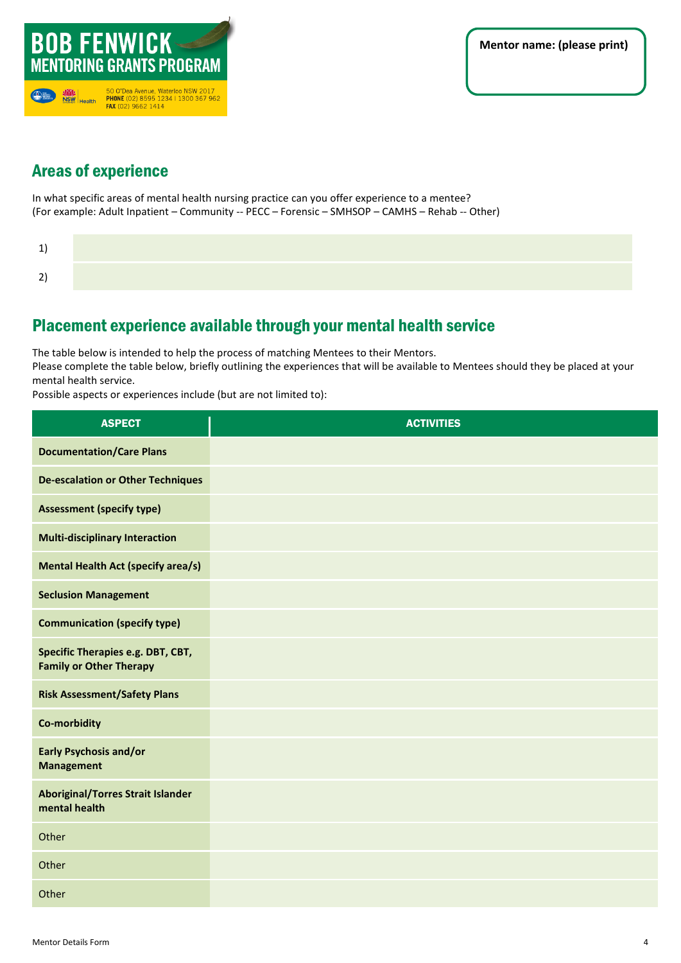

# Areas of experience

In what specific areas of mental health nursing practice can you offer experience to a mentee? (For example: Adult Inpatient – Community -- PECC – Forensic – SMHSOP – CAMHS – Rehab -- Other)

# Placement experience available through your mental health service

The table below is intended to help the process of matching Mentees to their Mentors.

Please complete the table below, briefly outlining the experiences that will be available to Mentees should they be placed at your mental health service.

Possible aspects or experiences include (but are not limited to):

| <b>ASPECT</b>                                                       | <b>ACTIVITIES</b> |
|---------------------------------------------------------------------|-------------------|
| <b>Documentation/Care Plans</b>                                     |                   |
| <b>De-escalation or Other Techniques</b>                            |                   |
| <b>Assessment (specify type)</b>                                    |                   |
| <b>Multi-disciplinary Interaction</b>                               |                   |
| <b>Mental Health Act (specify area/s)</b>                           |                   |
| <b>Seclusion Management</b>                                         |                   |
| <b>Communication (specify type)</b>                                 |                   |
| Specific Therapies e.g. DBT, CBT,<br><b>Family or Other Therapy</b> |                   |
| <b>Risk Assessment/Safety Plans</b>                                 |                   |
| Co-morbidity                                                        |                   |
| <b>Early Psychosis and/or</b><br><b>Management</b>                  |                   |
| <b>Aboriginal/Torres Strait Islander</b><br>mental health           |                   |
| Other                                                               |                   |
| Other                                                               |                   |
| Other                                                               |                   |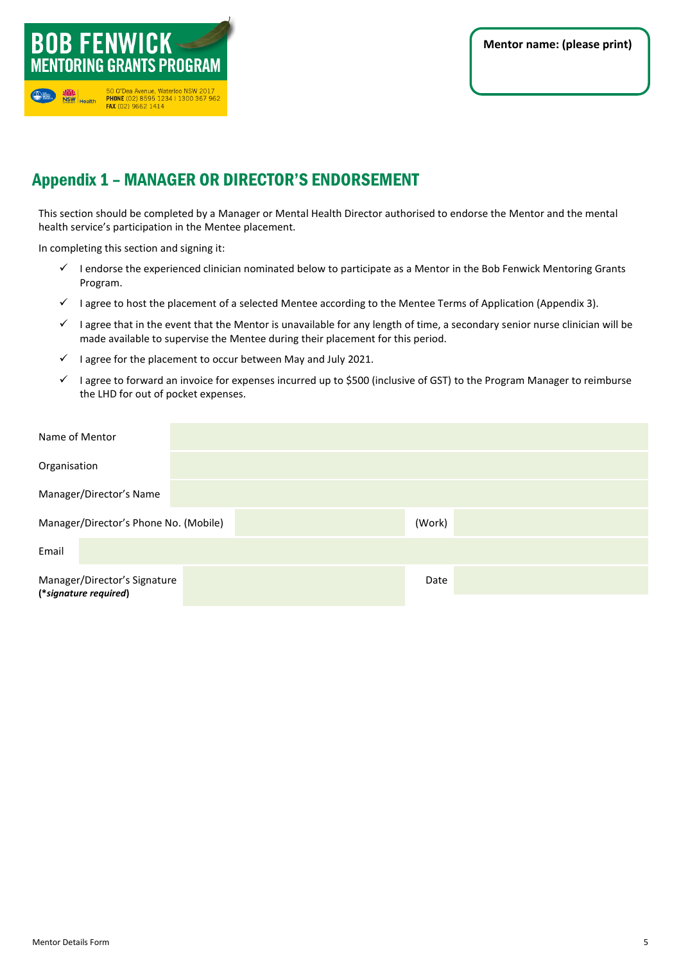

# Appendix 1 – MANAGER OR DIRECTOR'S ENDORSEMENT

This section should be completed by a Manager or Mental Health Director authorised to endorse the Mentor and the mental health service's participation in the Mentee placement.

In completing this section and signing it:

- ✓ I endorse the experienced clinician nominated below to participate as a Mentor in the Bob Fenwick Mentoring Grants Program.
- ✓ I agree to host the placement of a selected Mentee according to the Mentee Terms of Application (Appendix 3).
- $\checkmark$  I agree that in the event that the Mentor is unavailable for any length of time, a secondary senior nurse clinician will be made available to supervise the Mentee during their placement for this period.
- $\checkmark$  I agree for the placement to occur between May and July 2022.
- ✓ I agree to forward an invoice for expenses incurred up to \$500 (inclusive of GST) to the Program Manager to reimburse the LHD for out of pocket expenses.

| Name of Mentor                                        |      |  |
|-------------------------------------------------------|------|--|
| Organisation                                          |      |  |
| Manager/Director's Name                               |      |  |
| Manager/Director's Phone No. (Mobile)<br>(Work)       |      |  |
| Email                                                 |      |  |
| Manager/Director's Signature<br>(*signature required) | Date |  |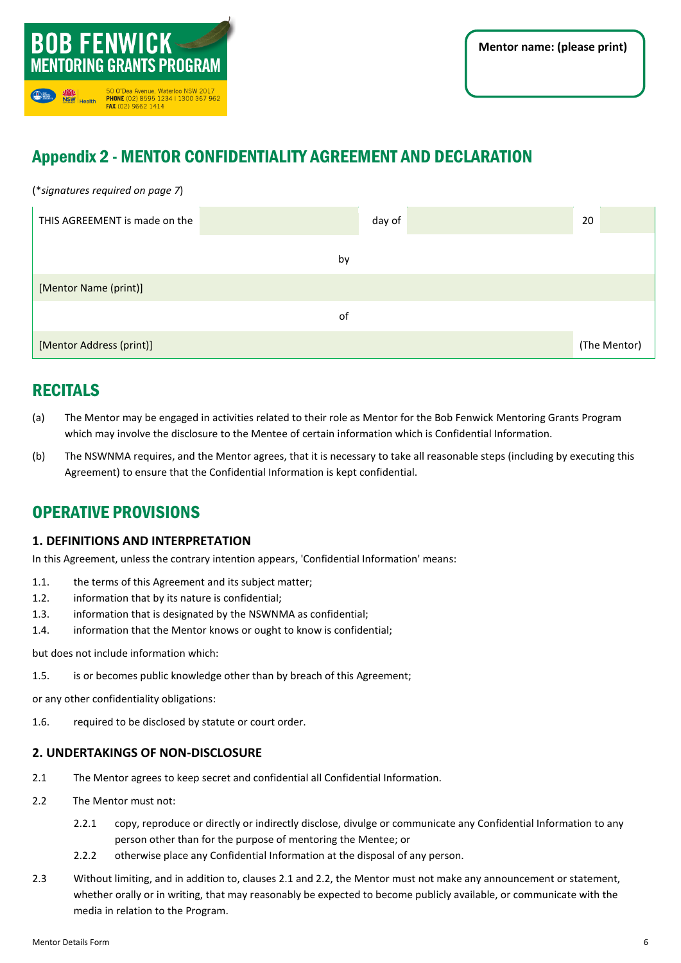

# Appendix 2 - MENTOR CONFIDENTIALITY AGREEMENT AND DECLARATION

(\**signatures required on page 7*)

| THIS AGREEMENT is made on the | day of | 20           |
|-------------------------------|--------|--------------|
|                               | by     |              |
| [Mentor Name (print)]         |        |              |
|                               | of     |              |
| [Mentor Address (print)]      |        | (The Mentor) |

# RECITALS

- (a) The Mentor may be engaged in activities related to their role as Mentor for the Bob Fenwick Mentoring Grants Program which may involve the disclosure to the Mentee of certain information which is Confidential Information.
- (b) The NSWNMA requires, and the Mentor agrees, that it is necessary to take all reasonable steps (including by executing this Agreement) to ensure that the Confidential Information is kept confidential.

# OPERATIVE PROVISIONS

### **1. DEFINITIONS AND INTERPRETATION**

In this Agreement, unless the contrary intention appears, 'Confidential Information' means:

- 1.1. the terms of this Agreement and its subject matter;
- 1.2. information that by its nature is confidential;
- 1.3. information that is designated by the NSWNMA as confidential;
- 1.4. information that the Mentor knows or ought to know is confidential;

but does not include information which:

1.5. is or becomes public knowledge other than by breach of this Agreement;

or any other confidentiality obligations:

1.6. required to be disclosed by statute or court order.

### **2. UNDERTAKINGS OF NON-DISCLOSURE**

- 2.1 The Mentor agrees to keep secret and confidential all Confidential Information.
- 2.2 The Mentor must not:
	- 2.2.1 copy, reproduce or directly or indirectly disclose, divulge or communicate any Confidential Information to any person other than for the purpose of mentoring the Mentee; or
	- 2.2.2 otherwise place any Confidential Information at the disposal of any person.
- 2.3 Without limiting, and in addition to, clauses 2.1 and 2.2, the Mentor must not make any announcement or statement, whether orally or in writing, that may reasonably be expected to become publicly available, or communicate with the media in relation to the Program.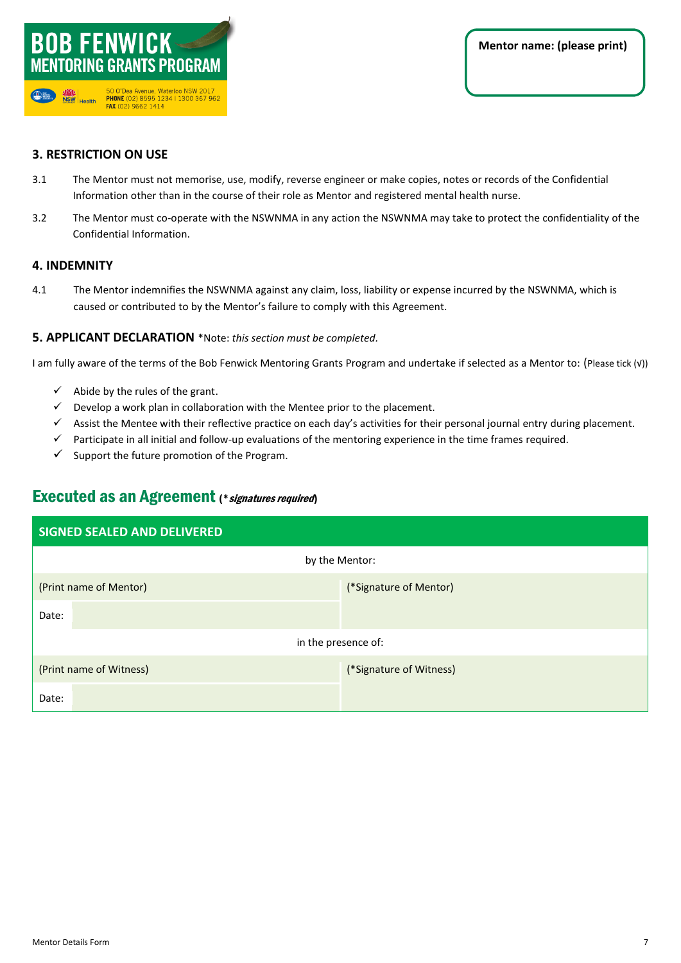

### **3. RESTRICTION ON USE**

- 3.1 The Mentor must not memorise, use, modify, reverse engineer or make copies, notes or records of the Confidential Information other than in the course of their role as Mentor and registered mental health nurse.
- 3.2 The Mentor must co-operate with the NSWNMA in any action the NSWNMA may take to protect the confidentiality of the Confidential Information.

### **4. INDEMNITY**

4.1 The Mentor indemnifies the NSWNMA against any claim, loss, liability or expense incurred by the NSWNMA, which is caused or contributed to by the Mentor's failure to comply with this Agreement.

### **5. APPLICANT DECLARATION** \*Note: *this section must be completed.*

I am fully aware of the terms of the Bob Fenwick Mentoring Grants Program and undertake if selected as a Mentor to: (Please tick (√))

- $\checkmark$  Abide by the rules of the grant.
- $\checkmark$  Develop a work plan in collaboration with the Mentee prior to the placement.
- ✓ Assist the Mentee with their reflective practice on each day's activities for their personal journal entry during placement.
- $\checkmark$  Participate in all initial and follow-up evaluations of the mentoring experience in the time frames required.
- $\checkmark$  Support the future promotion of the Program.

### Executed as an Agreement (\* signatures required)

| <b>SIGNED SEALED AND DELIVERED</b> |                         |  |  |  |
|------------------------------------|-------------------------|--|--|--|
| by the Mentor:                     |                         |  |  |  |
| (Print name of Mentor)             | (*Signature of Mentor)  |  |  |  |
| Date:                              |                         |  |  |  |
| in the presence of:                |                         |  |  |  |
| (Print name of Witness)            | (*Signature of Witness) |  |  |  |
| Date:                              |                         |  |  |  |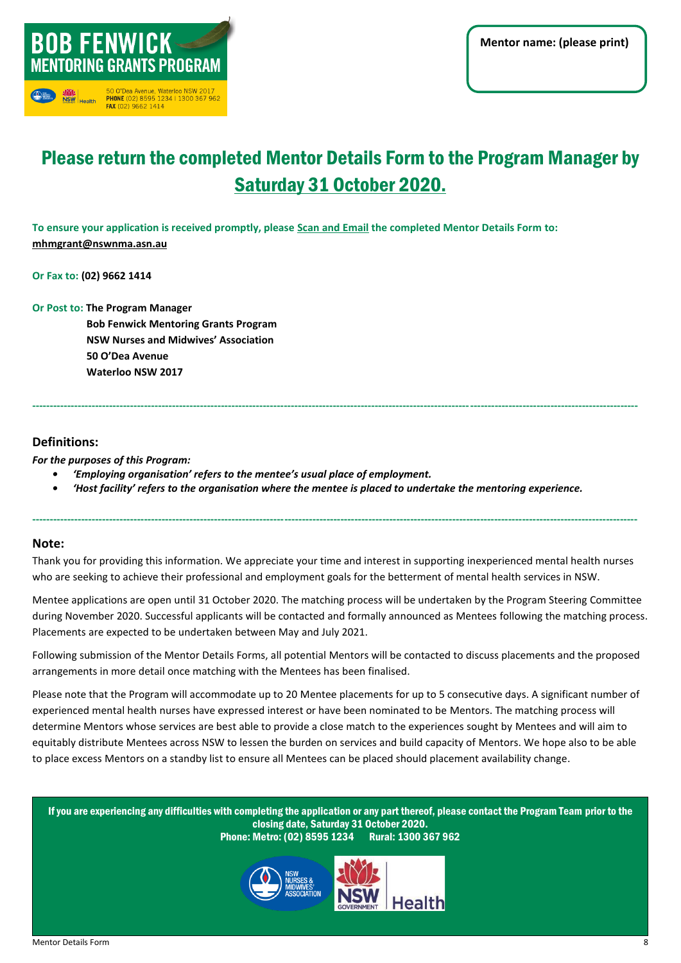

# Please return the completed Mentor Details Form to the Program Manager by Sunday 13 March 2022.

**To ensure your application is received promptly, please Scan and Email the completed Mentor Details Form to: [mhmgrant@nswnma.asn.au](mailto:mhmgrant@nswnma.asn.au)**

**Or Fax to: (02) 9662 1414**

**Or Post to: The Program Manager**

 **Bob Fenwick Mentoring Grants Program NSW Nurses and Midwives' Association 50 O'Dea Avenue Waterloo NSW 2017**

### **Definitions:**

*For the purposes of this Program:*

- *• 'Employing organisation' refers to the mentee's usual place of employment.*
- *• 'Host facility' refers to the organisation where the mentee is placed to undertake the mentoring experience.*

**-----------------------------------------------------------------------------------------------------------------------------------------------------------------------------**

#### **Note:**

Thank you for providing this information. We appreciate your time and interest in supporting inexperienced mental health nurses who are seeking to achieve their professional and employment goals for the betterment of mental health services in NSW.

**-----------------------------------------------------------------------------------------------------------------------------------------------------------------------------**

during November 2020. Successful applicants will be contacted and formally announced as Mentees following the matching process. Placements are expected to be undertaken between May and July 2022. Mentee applications are open until 13 March 2022. The matching process will be undertaken by the Program Steering Committee

Following submission of the Mentor Details Forms, all potential Mentors will be contacted to discuss placements and the proposed arrangements in more detail once matching with the Mentees has been finalised.

Please note that the Program will accommodate up to 20 Mentee placements for up to 5 consecutive days. A significant number of experienced mental health nurses have expressed interest or have been nominated to be Mentors. The matching process will determine Mentors whose services are best able to provide a close match to the experiences sought by Mentees and will aim to equitably distribute Mentees across NSW to lessen the burden on services and build capacity of Mentors. We hope also to be able to place excess Mentors on a standby list to ensure all Mentees can be placed should placement availability change.

If you are experiencing any difficulties with completing the application or any part thereof, please contact the Program Team prior to the closing date, Sunday 13 Mach 2022.

Phone: Metro: (02) 8595 1234 Rural: 1300 367 962



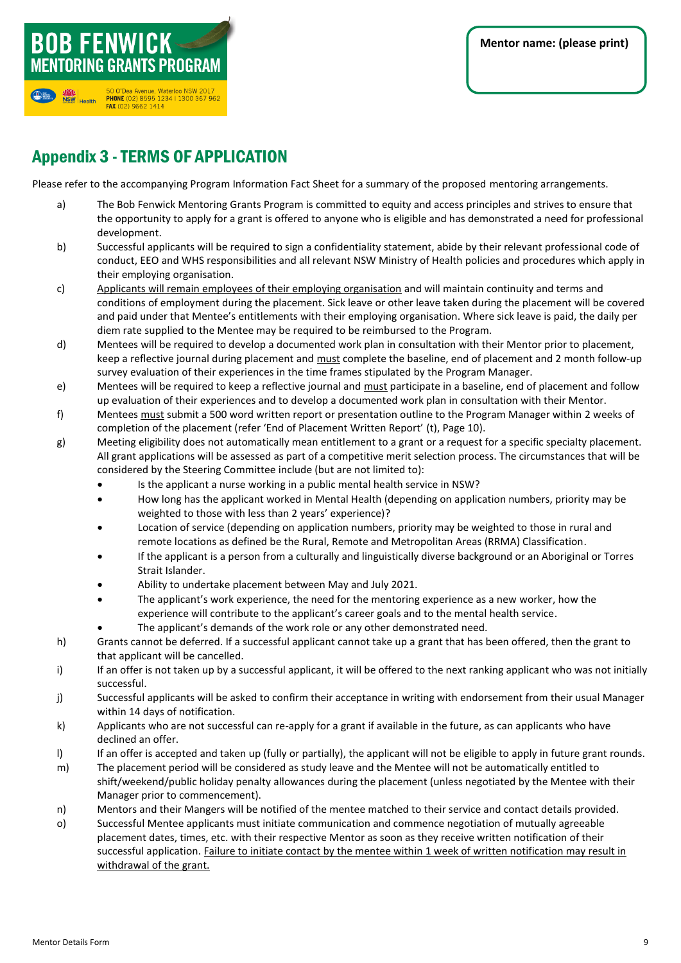

# **MENTORING GRANTS PROGRAM** 50 O'Dea Avenue, Waterloo NSW 2017<br>**PHONE** (02) 8595 1234 | 1300 367 962<br>**FAX** (02) 9662 1414 NSW Health

**BOB FENWICK** 

# Appendix 3 -TERMS OF APPLICATION

Please refer to the accompanying Program Information Fact Sheet for a summary of the proposed mentoring arrangements.

- a) The Bob Fenwick Mentoring Grants Program is committed to equity and access principles and strives to ensure that the opportunity to apply for a grant is offered to anyone who is eligible and has demonstrated a need for professional development.
- b) Successful applicants will be required to sign a confidentiality statement, abide by their relevant professional code of conduct, EEO and WHS responsibilities and all relevant NSW Ministry of Health policies and procedures which apply in their employing organisation.
- c) Applicants will remain employees of their employing organisation and will maintain continuity and terms and conditions of employment during the placement. Sick leave or other leave taken during the placement will be covered and paid under that Mentee's entitlements with their employing organisation. Where sick leave is paid, the daily per diem rate supplied to the Mentee may be required to be reimbursed to the Program.
- d) Mentees will be required to develop a documented work plan in consultation with their Mentor prior to placement, keep a reflective journal during placement and must complete the baseline, end of placement and 2 month follow-up survey evaluation of their experiences in the time frames stipulated by the Program Manager.
- e) Mentees will be required to keep a reflective journal and must participate in a baseline, end of placement and follow up evaluation of their experiences and to develop a documented work plan in consultation with their Mentor.
- f) Mentees must submit a 500 word written report or presentation outline to the Program Manager within 2 weeks of completion of the placement (refer 'End of Placement Written Report' (t), Page 10).
- g) Meeting eligibility does not automatically mean entitlement to a grant or a request for a specific specialty placement. All grant applications will be assessed as part of a competitive merit selection process. The circumstances that will be considered by the Steering Committee include (but are not limited to):
	- Is the applicant a nurse working in a public mental health service in NSW?
	- How long has the applicant worked in Mental Health (depending on application numbers, priority may be weighted to those with less than 2 years' experience)?
	- Location of service (depending on application numbers, priority may be weighted to those in rural and remote locations as defined be the Rural, Remote and Metropolitan Areas (RRMA) Classification.
	- If the applicant is a person from a culturally and linguistically diverse background or an Aboriginal or Torres Strait Islander.
	- Ability to undertake placement between May and July 2022.
	- The applicant's work experience, the need for the mentoring experience as a new worker, how the experience will contribute to the applicant's career goals and to the mental health service.
	- The applicant's demands of the work role or any other demonstrated need.
- h) Grants cannot be deferred. If a successful applicant cannot take up a grant that has been offered, then the grant to that applicant will be cancelled.
- i) If an offer is not taken up by a successful applicant, it will be offered to the next ranking applicant who was not initially successful.
- j) Successful applicants will be asked to confirm their acceptance in writing with endorsement from their usual Manager within 14 days of notification.
- k) Applicants who are not successful can re-apply for a grant if available in the future, as can applicants who have declined an offer.
- I) If an offer is accepted and taken up (fully or partially), the applicant will not be eligible to apply in future grant rounds.
- m) The placement period will be considered as study leave and the Mentee will not be automatically entitled to shift/weekend/public holiday penalty allowances during the placement (unless negotiated by the Mentee with their Manager prior to commencement).
- n) Mentors and their Mangers will be notified of the mentee matched to their service and contact details provided.
- o) Successful Mentee applicants must initiate communication and commence negotiation of mutually agreeable placement dates, times, etc. with their respective Mentor as soon as they receive written notification of their successful application. Failure to initiate contact by the mentee within 1 week of written notification may result in withdrawal of the grant.